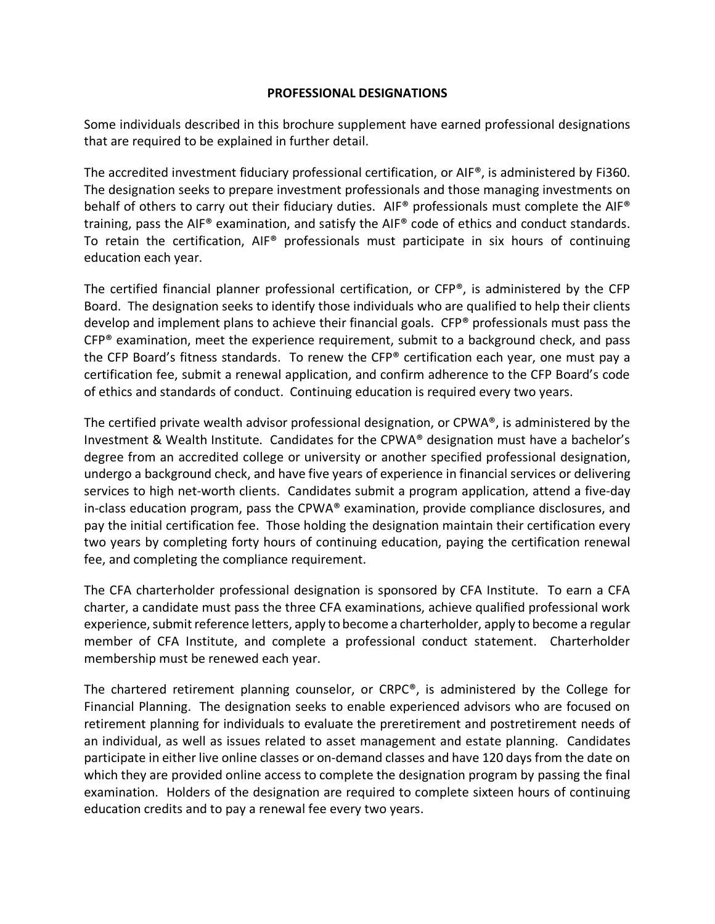## **PROFESSIONAL DESIGNATIONS**

Some individuals described in this brochure supplement have earned professional designations that are required to be explained in further detail.

The accredited investment fiduciary professional certification, or AIF®, is administered by Fi360. The designation seeks to prepare investment professionals and those managing investments on behalf of others to carry out their fiduciary duties. AIF® professionals must complete the AIF® training, pass the AIF® examination, and satisfy the AIF® code of ethics and conduct standards. To retain the certification, AIF® professionals must participate in six hours of continuing education each year.

The certified financial planner professional certification, or CFP®, is administered by the CFP Board. The designation seeks to identify those individuals who are qualified to help their clients develop and implement plans to achieve their financial goals. CFP® professionals must pass the CFP® examination, meet the experience requirement, submit to a background check, and pass the CFP Board's fitness standards. To renew the CFP® certification each year, one must pay a certification fee, submit a renewal application, and confirm adherence to the CFP Board's code of ethics and standards of conduct. Continuing education is required every two years.

The certified private wealth advisor professional designation, or CPWA®, is administered by the Investment & Wealth Institute. Candidates for the CPWA® designation must have a bachelor's degree from an accredited college or university or another specified professional designation, undergo a background check, and have five years of experience in financial services or delivering services to high net-worth clients. Candidates submit a program application, attend a five-day in-class education program, pass the CPWA® examination, provide compliance disclosures, and pay the initial certification fee. Those holding the designation maintain their certification every two years by completing forty hours of continuing education, paying the certification renewal fee, and completing the compliance requirement.

The CFA charterholder professional designation is sponsored by CFA Institute. To earn a CFA charter, a candidate must pass the three CFA examinations, achieve qualified professional work experience, submit reference letters, apply to become a charterholder, apply to become a regular member of CFA Institute, and complete a professional conduct statement. Charterholder membership must be renewed each year.

The chartered retirement planning counselor, or CRPC®, is administered by the College for Financial Planning. The designation seeks to enable experienced advisors who are focused on retirement planning for individuals to evaluate the preretirement and postretirement needs of an individual, as well as issues related to asset management and estate planning. Candidates participate in either live online classes or on-demand classes and have 120 days from the date on which they are provided online access to complete the designation program by passing the final examination. Holders of the designation are required to complete sixteen hours of continuing education credits and to pay a renewal fee every two years.